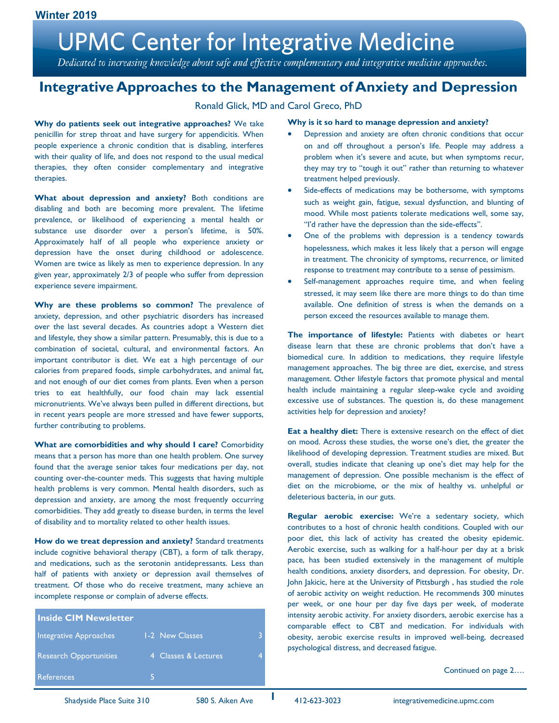Dedicated to increasing knowledge about safe and effective complementary and integrative medicine approaches.

### **Integrative Approaches to the Management of Anxiety and Depression**

### Ronald Glick, MD and Carol Greco, PhD

**Why do patients seek out integrative approaches?** We take penicillin for strep throat and have surgery for appendicitis. When people experience a chronic condition that is disabling, interferes with their quality of life, and does not respond to the usual medical therapies, they often consider complementary and integrative therapies.

What about depression and anxiety? Both conditions are disabling and both are becoming more prevalent. The lifetime prevalence, or likelihood of experiencing a mental health or substance use disorder over a person's lifetime, is 50%. Approximately half of all people who experience anxiety or depression have the onset during childhood or adolescence. Women are twice as likely as men to experience depression. In any given year, approximately 2/3 of people who suffer from depression experience severe impairment.

**Why are these problems so common?** The prevalence of anxiety, depression, and other psychiatric disorders has increased over the last several decades. As countries adopt a Western diet and lifestyle, they show a similar pattern. Presumably, this is due to a combination of societal, cultural, and environmental factors. An important contributor is diet. We eat a high percentage of our calories from prepared foods, simple carbohydrates, and animal fat, and not enough of our diet comes from plants. Even when a person tries to eat healthfully, our food chain may lack essential micronutrients. We've always been pulled in different directions, but in recent years people are more stressed and have fewer supports, further contributing to problems.

**What are comorbidities and why should I care?** Comorbidity means that a person has more than one health problem. One survey found that the average senior takes four medications per day, not counting over-the-counter meds. This suggests that having multiple health problems is very common. Mental health disorders, such as depression and anxiety, are among the most frequently occurring comorbidities. They add greatly to disease burden, in terms the level of disability and to mortality related to other health issues.

**How do we treat depression and anxiety?** Standard treatments include cognitive behavioral therapy (CBT), a form of talk therapy, and medications, such as the serotonin antidepressants. Less than half of patients with anxiety or depression avail themselves of treatment. Of those who do receive treatment, many achieve an incomplete response or complain of adverse effects.

| <b>Inside CIM Newsletter</b>  |                      |  |
|-------------------------------|----------------------|--|
| Integrative Approaches        | 1-2 New Classes      |  |
| <b>Research Opportunities</b> | 4 Classes & Lectures |  |
| References                    |                      |  |

#### **Why is it so hard to manage depression and anxiety?**

- Depression and anxiety are often chronic conditions that occur on and off throughout a person's life. People may address a problem when it's severe and acute, but when symptoms recur, they may try to "tough it out" rather than returning to whatever treatment helped previously.
- Side-effects of medications may be bothersome, with symptoms such as weight gain, fatigue, sexual dysfunction, and blunting of mood. While most patients tolerate medications well, some say, "I'd rather have the depression than the side-effects".
- One of the problems with depression is a tendency towards hopelessness, which makes it less likely that a person will engage in treatment. The chronicity of symptoms, recurrence, or limited response to treatment may contribute to a sense of pessimism.
- Self-management approaches require time, and when feeling stressed, it may seem like there are more things to do than time available. One definition of stress is when the demands on a person exceed the resources available to manage them.

**The importance of lifestyle:** Patients with diabetes or heart disease learn that these are chronic problems that don't have a biomedical cure. In addition to medications, they require lifestyle management approaches. The big three are diet, exercise, and stress management. Other lifestyle factors that promote physical and mental health include maintaining a regular sleep-wake cycle and avoiding excessive use of substances. The question is, do these management activities help for depression and anxiety?

**Eat a healthy diet:** There is extensive research on the effect of diet on mood. Across these studies, the worse one's diet, the greater the likelihood of developing depression. Treatment studies are mixed. But overall, studies indicate that cleaning up one's diet may help for the management of depression. One possible mechanism is the effect of diet on the microbiome, or the mix of healthy vs. unhelpful or deleterious bacteria, in our guts.

**Regular aerobic exercise:** We're a sedentary society, which contributes to a host of chronic health conditions. Coupled with our poor diet, this lack of activity has created the obesity epidemic. Aerobic exercise, such as walking for a half-hour per day at a brisk pace, has been studied extensively in the management of multiple health conditions, anxiety disorders, and depression. For obesity, Dr. John Jakicic, here at the University of Pittsburgh , has studied the role of aerobic activity on weight reduction. He recommends 300 minutes per week, or one hour per day five days per week, of moderate intensity aerobic activity. For anxiety disorders, aerobic exercise has a comparable effect to CBT and medication. For individuals with obesity, aerobic exercise results in improved well-being, decreased psychological distress, and decreased fatigue.

Continued on page 2….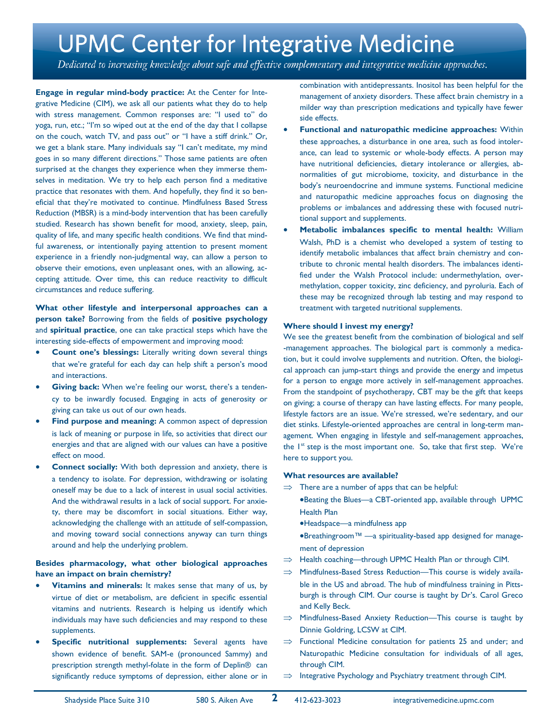Dedicated to increasing knowledge about safe and effective complementary and integrative medicine approaches.

**Engage in regular mind-body practice:** At the Center for Integrative Medicine (CIM), we ask all our patients what they do to help with stress management. Common responses are: "I used to" do yoga, run, etc.; "I'm so wiped out at the end of the day that I collapse on the couch, watch TV, and pass out" or "I have a stiff drink." Or, we get a blank stare. Many individuals say "I can't meditate, my mind goes in so many different directions." Those same patients are often surprised at the changes they experience when they immerse themselves in meditation. We try to help each person find a meditative practice that resonates with them. And hopefully, they find it so beneficial that they're motivated to continue. Mindfulness Based Stress Reduction (MBSR) is a mind-body intervention that has been carefully studied. Research has shown benefit for mood, anxiety, sleep, pain, quality of life, and many specific health conditions. We find that mindful awareness, or intentionally paying attention to present moment experience in a friendly non-judgmental way, can allow a person to observe their emotions, even unpleasant ones, with an allowing, accepting attitude. Over time, this can reduce reactivity to difficult circumstances and reduce suffering.

### **What other lifestyle and interpersonal approaches can a person take?** Borrowing from the fields of **positive psychology** and **spiritual practice**, one can take practical steps which have the interesting side-effects of empowerment and improving mood:

- **Count one's blessings:** Literally writing down several things that we're grateful for each day can help shift a person's mood and interactions.
- **Giving back:** When we're feeling our worst, there's a tendency to be inwardly focused. Engaging in acts of generosity or giving can take us out of our own heads.
- **Find purpose and meaning:** A common aspect of depression is lack of meaning or purpose in life, so activities that direct our energies and that are aligned with our values can have a positive effect on mood.
- **Connect socially:** With both depression and anxiety, there is a tendency to isolate. For depression, withdrawing or isolating oneself may be due to a lack of interest in usual social activities. And the withdrawal results in a lack of social support. For anxiety, there may be discomfort in social situations. Either way, acknowledging the challenge with an attitude of self-compassion, and moving toward social connections anyway can turn things around and help the underlying problem.

### **Besides pharmacology, what other biological approaches have an impact on brain chemistry?**

- **Vitamins and minerals:** It makes sense that many of us, by virtue of diet or metabolism, are deficient in specific essential vitamins and nutrients. Research is helping us identify which individuals may have such deficiencies and may respond to these supplements.
- **Specific nutritional supplements:** Several agents have shown evidence of benefit. SAM-e (pronounced Sammy) and prescription strength methyl-folate in the form of Deplin® can significantly reduce symptoms of depression, either alone or in

combination with antidepressants. Inositol has been helpful for the management of anxiety disorders. These affect brain chemistry in a milder way than prescription medications and typically have fewer side effects.

- **Functional and naturopathic medicine approaches:** Within these approaches, a disturbance in one area, such as food intolerance, can lead to systemic or whole-body effects. A person may have nutritional deficiencies, dietary intolerance or allergies, abnormalities of gut microbiome, toxicity, and disturbance in the body's neuroendocrine and immune systems. Functional medicine and naturopathic medicine approaches focus on diagnosing the problems or imbalances and addressing these with focused nutritional support and supplements.
- **Metabolic imbalances specific to mental health:** William Walsh, PhD is a chemist who developed a system of testing to identify metabolic imbalances that affect brain chemistry and contribute to chronic mental health disorders. The imbalances identified under the Walsh Protocol include: undermethylation, overmethylation, copper toxicity, zinc deficiency, and pyroluria. Each of these may be recognized through lab testing and may respond to treatment with targeted nutritional supplements.

#### **Where should I invest my energy?**

We see the greatest benefit from the combination of biological and self -management approaches. The biological part is commonly a medication, but it could involve supplements and nutrition. Often, the biological approach can jump-start things and provide the energy and impetus for a person to engage more actively in self-management approaches. From the standpoint of psychotherapy, CBT may be the gift that keeps on giving; a course of therapy can have lasting effects. For many people, lifestyle factors are an issue. We're stressed, we're sedentary, and our diet stinks. Lifestyle-oriented approaches are central in long-term management. When engaging in lifestyle and self-management approaches, the 1<sup>st</sup> step is the most important one. So, take that first step. We're here to support you.

#### **What resources are available?**

- $\Rightarrow$  There are a number of apps that can be helpful:
	- •Beating the Blues—a CBT-oriented app, available through UPMC Health Plan
		- •Headspace—a mindfulness app
		- •Breathingroom™ —a spirituality-based app designed for management of depression
- $\Rightarrow$  Health coaching—through UPMC Health Plan or through CIM.
- $\implies$  Mindfulness-Based Stress Reduction—This course is widely available in the US and abroad. The hub of mindfulness training in Pittsburgh is through CIM. Our course is taught by Dr's. Carol Greco and Kelly Beck.
- $\implies$  Mindfulness-Based Anxiety Reduction-This course is taught by Dinnie Goldring, LCSW at CIM.
- $\implies$  Functional Medicine consultation for patients 25 and under; and Naturopathic Medicine consultation for individuals of all ages, through CIM.
- $\implies$  Integrative Psychology and Psychiatry treatment through CIM.

**2**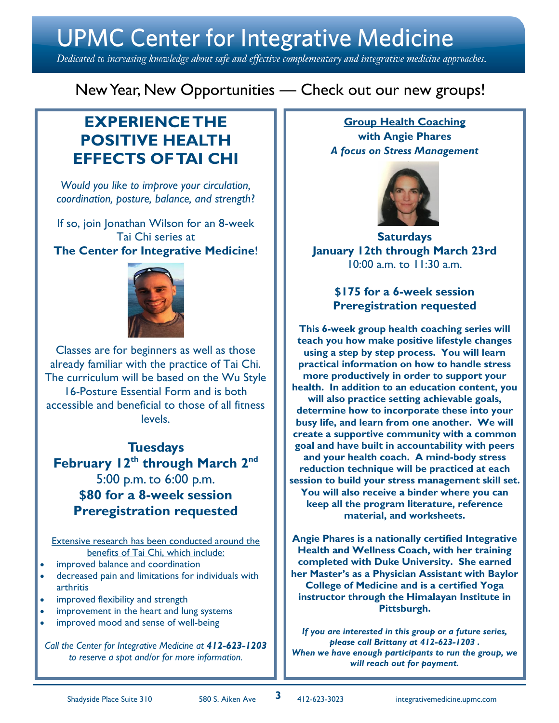Dedicated to increasing knowledge about safe and effective complementary and integrative medicine approaches.

New Year, New Opportunities — Check out our new groups!

## **EXPERIENCE THE POSITIVE HEALTH EFFECTS OF TAI CHI**

*Would you like to improve your circulation, coordination, posture, balance, and strength*?

If so, join Jonathan Wilson for an 8-week Tai Chi series at **The Center for Integrative Medicine**!



Classes are for beginners as well as those already familiar with the practice of Tai Chi. The curriculum will be based on the Wu Style 16-Posture Essential Form and is both accessible and beneficial to those of all fitness levels.

**Tuesdays February 12th through March 2nd** 5:00 p.m. to 6:00 p.m. **\$80 for a 8-week session Preregistration requested**

Extensive research has been conducted around the benefits of Tai Chi, which include:

- improved balance and coordination
- decreased pain and limitations for individuals with arthritis
- improved flexibility and strength
- improvement in the heart and lung systems
- improved mood and sense of well-being

*Call the Center for Integrative Medicine at 412-623-1203 to reserve a spot and/or for more information.*

**Group Health Coaching with Angie Phares**  *A focus on Stress Management*



**Saturdays January 12th through March 23rd**  10:00 a.m. to 11:30 a.m.

> **\$175 for a 6-week session Preregistration requested**

**This 6-week group health coaching series will teach you how make positive lifestyle changes using a step by step process. You will learn practical information on how to handle stress more productively in order to support your health. In addition to an education content, you will also practice setting achievable goals, determine how to incorporate these into your busy life, and learn from one another. We will create a supportive community with a common goal and have built in accountability with peers and your health coach. A mind-body stress reduction technique will be practiced at each session to build your stress management skill set. You will also receive a binder where you can keep all the program literature, reference material, and worksheets.**

**Angie Phares is a nationally certified Integrative Health and Wellness Coach, with her training completed with Duke University. She earned her Master's as a Physician Assistant with Baylor College of Medicine and is a certified Yoga instructor through the Himalayan Institute in Pittsburgh.**

*If you are interested in this group or a future series, please call Brittany at 412-623-1203 . When we have enough participants to run the group, we will reach out for payment.*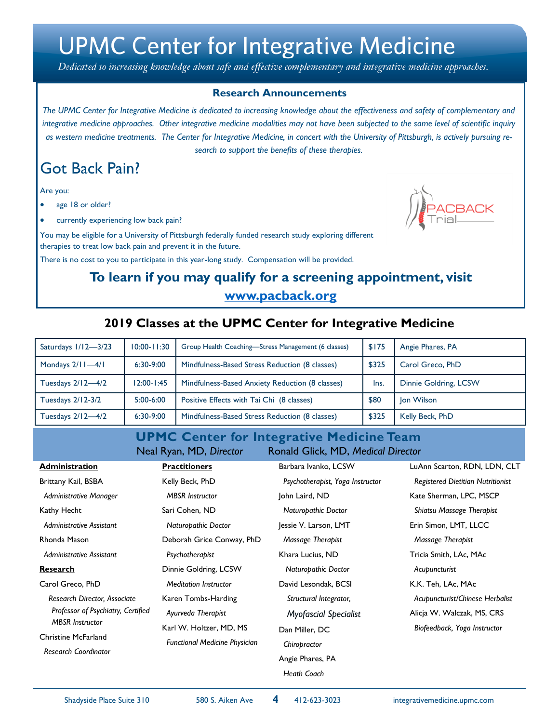Dedicated to increasing knowledge about safe and effective complementary and integrative medicine approaches.

### **Research Announcements**

The UPMC Center for Integrative Medicine is dedicated to increasing knowledge about the effectiveness and safety of complementary and *integrative medicine approaches. Other integrative medicine modalities may not have been subjected to the same level of scientific inquiry as western medicine treatments. The Center for Integrative Medicine, in concert with the University of Pittsburgh, is actively pursuing research to support the benefits of these therapies.*

## Got Back Pain?

Are you:

- age 18 or older?
- currently experiencing low back pain?

You may be eligible for a University of Pittsburgh federally funded research study exploring different therapies to treat low back pain and prevent it in the future.

There is no cost to you to participate in this year-long study. Compensation will be provided.

### **To learn if you may qualify for a screening appointment, visit www.pacback.org**

### **2019 Classes at the UPMC Center for Integrative Medicine**

| Saturdays 1/12-3/23 | $10:00 - 11:30$ | Group Health Coaching-Stress Management (6 classes) | \$175 | Angie Phares, PA      |
|---------------------|-----------------|-----------------------------------------------------|-------|-----------------------|
| Mondays $2/11-4/1$  | $6:30-9:00$     | Mindfulness-Based Stress Reduction (8 classes)      | \$325 | Carol Greco, PhD      |
| Tuesdays $2/12-4/2$ | $12:00 - 1:45$  | Mindfulness-Based Anxiety Reduction (8 classes)     | Ins.  | Dinnie Goldring, LCSW |
| Tuesdays 2/12-3/2   | $5:00-6:00$     | Positive Effects with Tai Chi (8 classes)           | \$80  | Jon Wilson            |
| Tuesdays 2/12-4/2   | $6:30-9:00$     | Mindfulness-Based Stress Reduction (8 classes)      | \$325 | Kelly Beck, PhD       |

**UPMC Center for Integrative Medicine Team** Neal Ryan, MD, *Director* Ronald Glick, MD, *Medical Director*

| <b>Administration</b>                                                               | <b>Practitioners</b>                                            | Barbara Ivanko, LCSW             | LuAnn Scarton, RDN, LDN, CLT             |
|-------------------------------------------------------------------------------------|-----------------------------------------------------------------|----------------------------------|------------------------------------------|
| Brittany Kail, BSBA                                                                 | Kelly Beck, PhD                                                 | Psychotherapist, Yoga Instructor | <b>Registered Dietitian Nutritionist</b> |
| Administrative Manager                                                              | <b>MBSR</b> Instructor                                          | John Laird, ND                   | Kate Sherman, LPC, MSCP                  |
| Kathy Hecht                                                                         | Sari Cohen, ND                                                  | <b>Naturopathic Doctor</b>       | Shiatsu Massage Therapist                |
| Administrative Assistant                                                            | Naturopathic Doctor                                             | Jessie V. Larson, LMT            | Erin Simon, LMT, LLCC                    |
| Rhonda Mason                                                                        | Deborah Grice Conway, PhD                                       | Massage Therapist                | Massage Therapist                        |
| Administrative Assistant                                                            | Psychotherapist                                                 | Khara Lucius, ND                 | Tricia Smith, LAc, MAc                   |
| <b>Research</b>                                                                     | Dinnie Goldring, LCSW                                           | Naturopathic Doctor              | Acupuncturist                            |
| Carol Greco, PhD                                                                    | <b>Meditation Instructor</b>                                    | David Lesondak, BCSI             | K.K. Teh, LAc, MAc                       |
| Research Director, Associate                                                        | Karen Tombs-Harding                                             | Structural Integrator,           | Acupuncturist/Chinese Herbalist          |
| Professor of Psychiatry, Certified                                                  | Ayurveda Therapist                                              | <b>Myofascial Specialist</b>     | Alicja W. Walczak, MS, CRS               |
| <b>MBSR</b> Instructor<br><b>Christine McFarland</b><br><b>Research Coordinator</b> | Karl W. Holtzer, MD, MS<br><b>Functional Medicine Physician</b> | Dan Miller, DC                   | Biofeedback, Yoga Instructor             |
|                                                                                     |                                                                 | Chiropractor                     |                                          |
|                                                                                     |                                                                 | Angie Phares, PA                 |                                          |
|                                                                                     |                                                                 | Heath Coach                      |                                          |

**4**